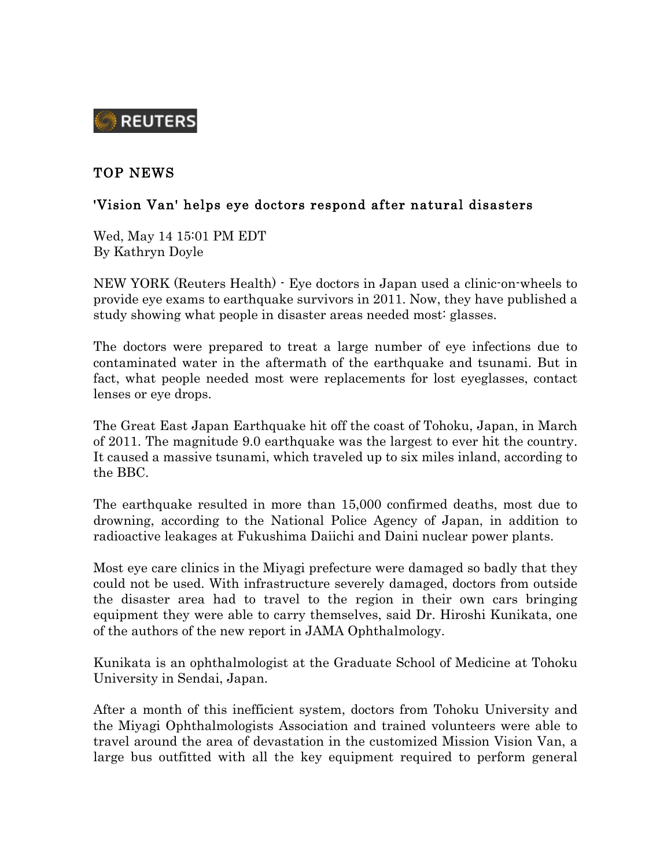

## TOP NEWS

## 'Vision Van' helps eye doctors respond after natural disasters

Wed, May 14 15:01 PM EDT By Kathryn Doyle

NEW YORK (Reuters Health) - Eye doctors in Japan used a clinic-on-wheels to provide eye exams to earthquake survivors in 2011. Now, they have published a study showing what people in disaster areas needed most: glasses.

The doctors were prepared to treat a large number of eye infections due to contaminated water in the aftermath of the earthquake and tsunami. But in fact, what people needed most were replacements for lost eyeglasses, contact lenses or eye drops.

The Great East Japan Earthquake hit off the coast of Tohoku, Japan, in March of 2011. The magnitude 9.0 earthquake was the largest to ever hit the country. It caused a massive tsunami, which traveled up to six miles inland, according to the BBC.

The earthquake resulted in more than 15,000 confirmed deaths, most due to drowning, according to the National Police Agency of Japan, in addition to radioactive leakages at Fukushima Daiichi and Daini nuclear power plants.

Most eye care clinics in the Miyagi prefecture were damaged so badly that they could not be used. With infrastructure severely damaged, doctors from outside the disaster area had to travel to the region in their own cars bringing equipment they were able to carry themselves, said Dr. Hiroshi Kunikata, one of the authors of the new report in JAMA Ophthalmology.

Kunikata is an ophthalmologist at the Graduate School of Medicine at Tohoku University in Sendai, Japan.

After a month of this inefficient system, doctors from Tohoku University and the Miyagi Ophthalmologists Association and trained volunteers were able to travel around the area of devastation in the customized Mission Vision Van, a large bus outfitted with all the key equipment required to perform general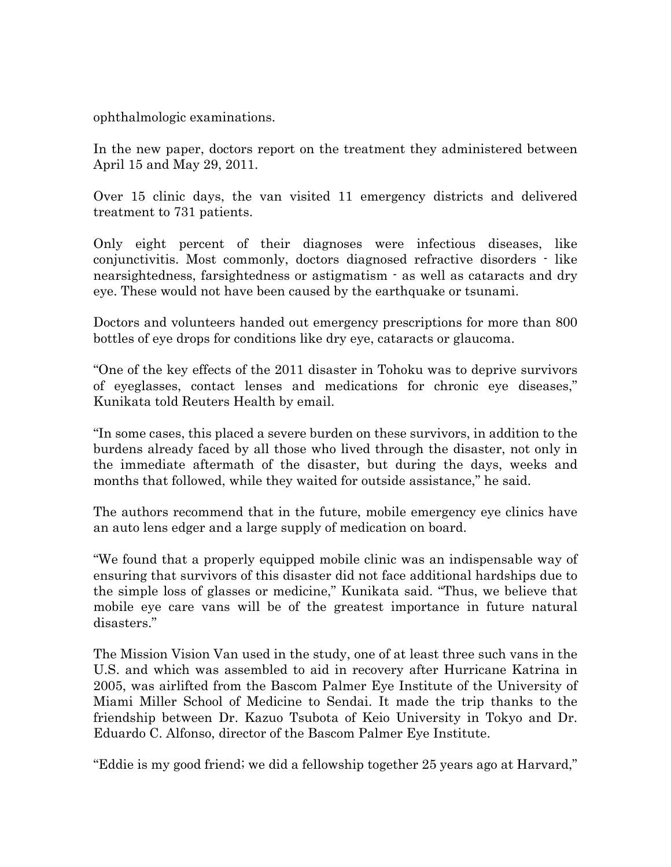ophthalmologic examinations.

In the new paper, doctors report on the treatment they administered between April 15 and May 29, 2011.

Over 15 clinic days, the van visited 11 emergency districts and delivered treatment to 731 patients.

Only eight percent of their diagnoses were infectious diseases, like conjunctivitis. Most commonly, doctors diagnosed refractive disorders - like nearsightedness, farsightedness or astigmatism - as well as cataracts and dry eye. These would not have been caused by the earthquake or tsunami.

Doctors and volunteers handed out emergency prescriptions for more than 800 bottles of eye drops for conditions like dry eye, cataracts or glaucoma.

"One of the key effects of the 2011 disaster in Tohoku was to deprive survivors of eyeglasses, contact lenses and medications for chronic eye diseases," Kunikata told Reuters Health by email.

"In some cases, this placed a severe burden on these survivors, in addition to the burdens already faced by all those who lived through the disaster, not only in the immediate aftermath of the disaster, but during the days, weeks and months that followed, while they waited for outside assistance," he said.

The authors recommend that in the future, mobile emergency eye clinics have an auto lens edger and a large supply of medication on board.

"We found that a properly equipped mobile clinic was an indispensable way of ensuring that survivors of this disaster did not face additional hardships due to the simple loss of glasses or medicine," Kunikata said. "Thus, we believe that mobile eye care vans will be of the greatest importance in future natural disasters."

The Mission Vision Van used in the study, one of at least three such vans in the U.S. and which was assembled to aid in recovery after Hurricane Katrina in 2005, was airlifted from the Bascom Palmer Eye Institute of the University of Miami Miller School of Medicine to Sendai. It made the trip thanks to the friendship between Dr. Kazuo Tsubota of Keio University in Tokyo and Dr. Eduardo C. Alfonso, director of the Bascom Palmer Eye Institute.

"Eddie is my good friend; we did a fellowship together 25 years ago at Harvard,"